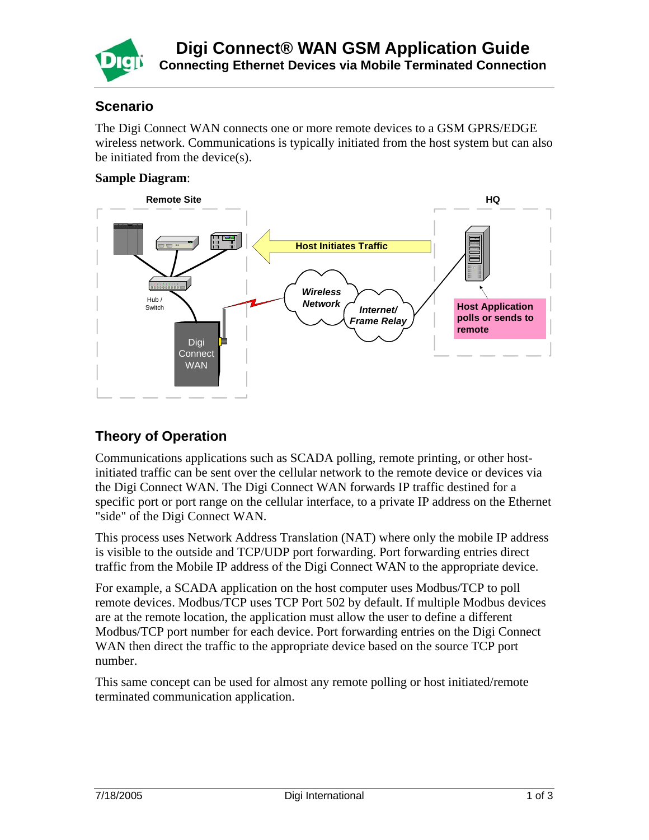

## **Scenario**

The Digi Connect WAN connects one or more remote devices to a GSM GPRS/EDGE wireless network. Communications is typically initiated from the host system but can also be initiated from the device(s).

### **Sample Diagram**:



# **Theory of Operation**

Communications applications such as SCADA polling, remote printing, or other hostinitiated traffic can be sent over the cellular network to the remote device or devices via the Digi Connect WAN. The Digi Connect WAN forwards IP traffic destined for a specific port or port range on the cellular interface, to a private IP address on the Ethernet "side" of the Digi Connect WAN.

This process uses Network Address Translation (NAT) where only the mobile IP address is visible to the outside and TCP/UDP port forwarding. Port forwarding entries direct traffic from the Mobile IP address of the Digi Connect WAN to the appropriate device.

For example, a SCADA application on the host computer uses Modbus/TCP to poll remote devices. Modbus/TCP uses TCP Port 502 by default. If multiple Modbus devices are at the remote location, the application must allow the user to define a different Modbus/TCP port number for each device. Port forwarding entries on the Digi Connect WAN then direct the traffic to the appropriate device based on the source TCP port number.

This same concept can be used for almost any remote polling or host initiated/remote terminated communication application.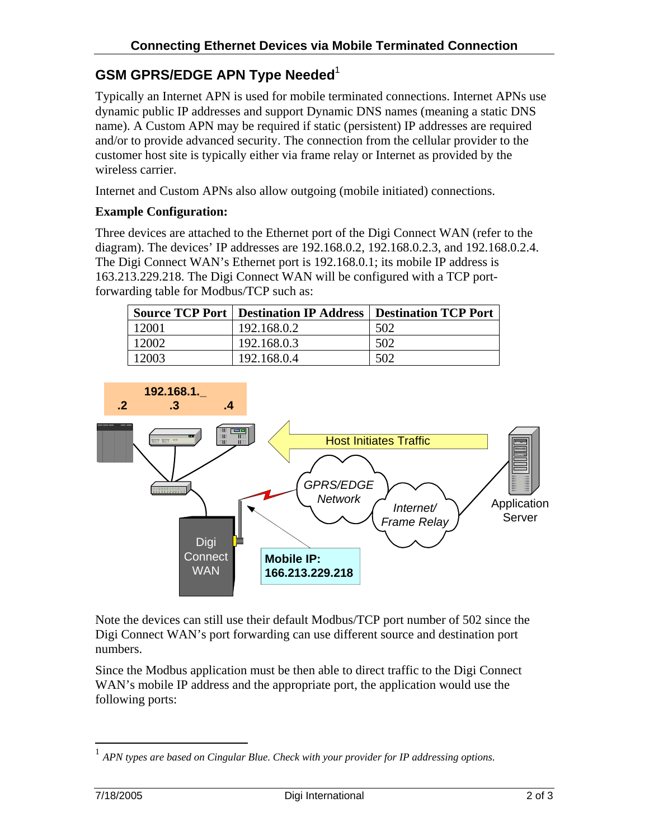# **GSM GPRS/EDGE APN Type Needed**[1](#page-1-0)

Typically an Internet APN is used for mobile terminated connections. Internet APNs use dynamic public IP addresses and support Dynamic DNS names (meaning a static DNS name). A Custom APN may be required if static (persistent) IP addresses are required and/or to provide advanced security. The connection from the cellular provider to the customer host site is typically either via frame relay or Internet as provided by the wireless carrier.

Internet and Custom APNs also allow outgoing (mobile initiated) connections.

### **Example Configuration:**

Three devices are attached to the Ethernet port of the Digi Connect WAN (refer to the diagram). The devices' IP addresses are 192.168.0.2, 192.168.0.2.3, and 192.168.0.2.4. The Digi Connect WAN's Ethernet port is 192.168.0.1; its mobile IP address is 163.213.229.218. The Digi Connect WAN will be configured with a TCP portforwarding table for Modbus/TCP such as:

|       | <b>Source TCP Port   Destination IP Address   Destination TCP Port</b> |     |
|-------|------------------------------------------------------------------------|-----|
| 12001 | 192.168.0.2                                                            | 502 |
| 12002 | 192.168.0.3                                                            | 502 |
| 12003 | 192.168.0.4                                                            | 502 |



Note the devices can still use their default Modbus/TCP port number of 502 since the Digi Connect WAN's port forwarding can use different source and destination port numbers.

Since the Modbus application must be then able to direct traffic to the Digi Connect WAN's mobile IP address and the appropriate port, the application would use the following ports:

 $\overline{a}$ 

<span id="page-1-0"></span><sup>&</sup>lt;sup>1</sup> APN types are based on Cingular Blue. Check with your provider for IP addressing options.